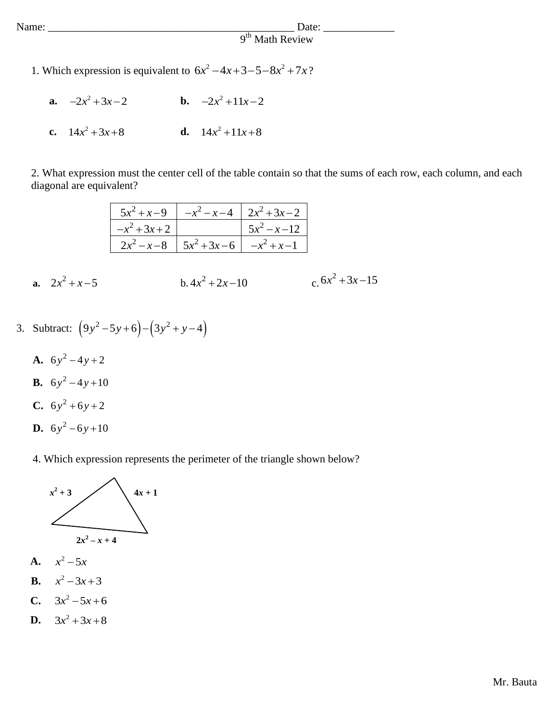## Name: \_\_\_\_\_\_\_\_\_\_\_\_\_\_\_\_\_\_\_\_\_\_\_\_\_\_\_\_\_\_\_\_\_\_\_\_\_\_\_\_\_\_\_\_\_ Date: \_\_\_\_\_\_\_\_\_\_\_\_\_ 9<sup>th</sup> Math Review

- 1. Which expression is equivalent to  $6x^2 4x + 3 5 8x^2 + 7x$ ?
	- **a.**  $-2x^2+3x-2$  **b.**  $-2x^2+11x-2$ **c.**  $14x^2 + 3x + 8$ **d.**  $14x^2 + 11x + 8$

2. What expression must the center cell of the table contain so that the sums of each row, each column, and each diagonal are equivalent?

|                |                                                                                                            | $5x^2 + x - 9$   $-x^2 - x - 4$   $2x^2 + 3x - 2$ |                 |  |
|----------------|------------------------------------------------------------------------------------------------------------|---------------------------------------------------|-----------------|--|
|                | $-x^2+3x+2$                                                                                                |                                                   | $5x^2 - x - 12$ |  |
|                | $\begin{array}{ c c c c c c c c } \hline 2x^2 - x - 8 & 5x^2 + 3x - 6 & -x^2 + x - 1 \ \hline \end{array}$ |                                                   |                 |  |
|                |                                                                                                            |                                                   |                 |  |
| $2x^2 + x - 5$ | $h.4x^2 + 2x - 10$                                                                                         |                                                   | $x^2+3x-15$     |  |

- 3. Subtract:  $(9y^2 5y + 6) (3y^2 + y 4)$ 
	- **A.**  $6y^2 4y + 2$ **B.**  $6y^2 - 4y + 10$ **C.**  $6y^2 + 6y + 2$ **D.**  $6y^2 - 6y + 10$

**a.**

4. Which expression represents the perimeter of the triangle shown below?



- **A.**  $x^2 - 5x$
- **B.**  $x^2 - 3x + 3$
- **C.**  $3x^2 - 5x + 6$
- **D.**  $3x^2 + 3x + 8$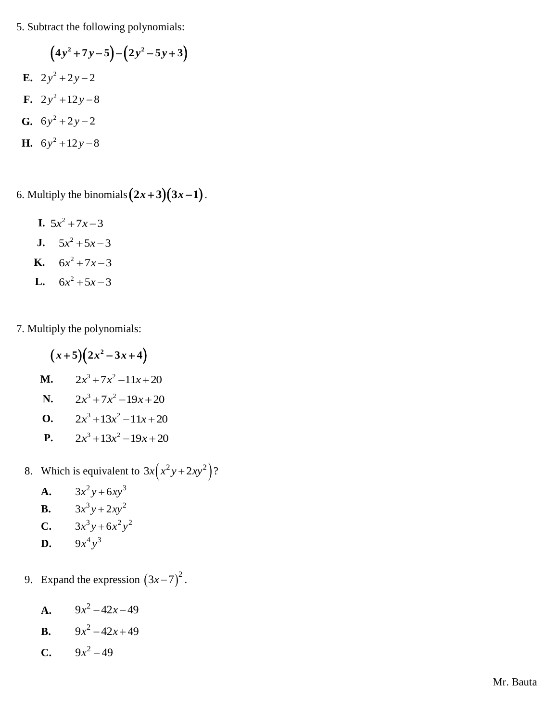5. Subtract the following polynomials:

$$
(4y2+7y-5)-(2y2-5y+3)
$$
  
\nE. 2y<sup>2</sup>+2y-2  
\nF. 2y<sup>2</sup>+12y-8  
\nG. 6y<sup>2</sup>+2y-2  
\nH. 6y<sup>2</sup>+12y-8

6. Multiply the binomials  $(2x+3)(3x-1)$ .

**I.**  $5x^2 + 7x - 3$ **J.**  $5x^2 + 5x - 3$ **K.**  $6x^2 + 7x - 3$ **L.**  $6x^2 + 5x - 3$ 

7. Multiply the polynomials:

- $(x+5)(2x^2-3x+4)$ **M.**  $2x^3 + 7x^2 - 11x + 20$ **N.**  $2x^3 + 7x^2 - 19x + 20$ **O.**  $2x^3 + 13x^2 - 11x + 20$ **P.**  $2x^3 + 13x^2 - 19x + 20$
- 8. Which is equivalent to  $3x(x^2y+2xy^2)$ ?
	- **A.**  $3x^2y + 6xy^3$ **B.**  $3x^3y + 2xy^2$ **C.**  $3x^3y + 6x^2y^2$ **D.**  $9x^4y^3$
- 9. Expand the expression  $(3x-7)^2$ .
	- **A.**  $9x^2 42x 49$
	- **B.**  $9x^2 42x + 49$
	- **C.**  $9x^2 49$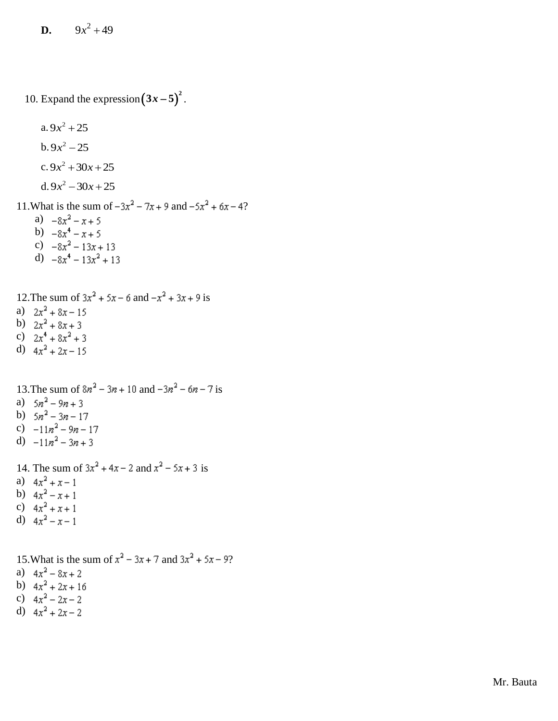**D.**  $9x^2 + 49$ 

10. Expand the expression  $(3x-5)^2$ .

a.  $9x^2 + 25$ b.  $9x^2 - 25$ c.  $9x^2 + 30x + 25$ d.  $9x^2 - 30x + 25$ 11. What is the sum of  $-3x^2 - 7x + 9$  and  $-5x^2 + 6x - 4$ ? a)  $-8x^2 - x + 5$ b)  $-8x^4 - x + 5$ c) d)

- 12. The sum of  $3x^2 + 5x 6$  and  $-x^2 + 3x + 9$  is a)  $2x^2 + 8x - 15$ b)  $2x^2 + 8x + 3$
- c)  $2x^4 + 8x^2 + 3$
- d)  $4x^2 + 2x 15$

13. The sum of  $8n^2 - 3n + 10$  and  $-3n^2 - 6n - 7$  is a)  $5n^2 - 9n + 3$ b)  $5n^2 - 3n - 17$ c)  $-11n^2 - 9n - 17$ 

- d)  $-11n^2-3n+3$
- 
- 14. The sum of  $3x^2 + 4x 2$  and  $x^2 5x + 3$  is
- a)  $4x^2 + x 1$
- b)  $4x^2 x + 1$
- c)  $4x^2 + x + 1$
- d)  $4x^2 x 1$

15. What is the sum of  $x^2 - 3x + 7$  and  $3x^2 + 5x - 9$ ?

- a)  $4x^2 8x + 2$
- b)  $4x^2 + 2x + 16$
- c)
- d)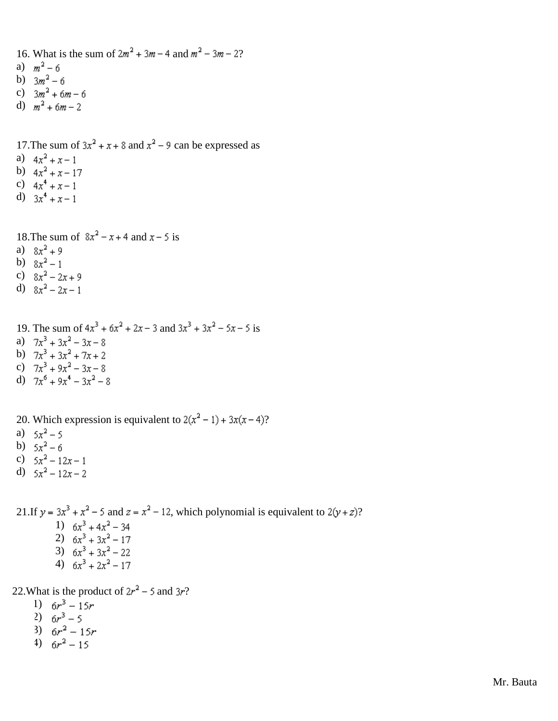- 16. What is the sum of  $2m^2 + 3m 4$  and  $m^2 3m 2$ ?
- a)  $m^2 6$
- b)  $3m^2 6$
- c)  $3m^2 + 6m 6$
- d)  $m^2 + 6m 2$
- 17. The sum of  $3x^2 + x + 8$  and  $x^2 9$  can be expressed as
- a)  $4x^2 + x 1$
- b)  $4x^2 + x 17$
- c)  $4x^4 + x 1$
- d)  $3x^4 + x 1$

18. The sum of  $8x^2 - x + 4$  and  $x - 5$  is

- a)  $8x^2 + 9$
- b)  $8x^2-1$
- c)  $8x^2 2x + 9$
- d)  $8x^2-2x-1$
- 19. The sum of  $4x^3 + 6x^2 + 2x 3$  and  $3x^3 + 3x^2 5x 5$  is a)  $7x^3 + 3x^2 - 3x - 8$ b)  $7x^3 + 3x^2 + 7x + 2$
- c)  $7x^3 + 9x^2 3x 8$
- d)  $7x^6 + 9x^4 3x^2 8$
- 
- 20. Which expression is equivalent to  $2(x^2 1) + 3x(x 4)$ ?
- a)  $5x^2 5$
- b)  $5x^2-6$
- c)  $5x^2 12x 1$
- d)  $5x^2 12x 2$

21.If  $y = 3x^3 + x^2 - 5$  and  $z = x^2 - 12$ , which polynomial is equivalent to  $2(y + z)$ ? 1)  $6x^3 + 4x^2 - 34$ 2)  $6x^3 + 3x^2 - 17$ 3)  $6x^3 + 3x^2 - 22$ 4)  $6x^3 + 2x^2 - 17$ 

22. What is the product of  $2r^2$  – 5 and 3r?

- 1)  $6r^3 15r$
- 2)  $6r^3 5$
- 3)  $6r^2 15r$
- 4)  $6r^2 15$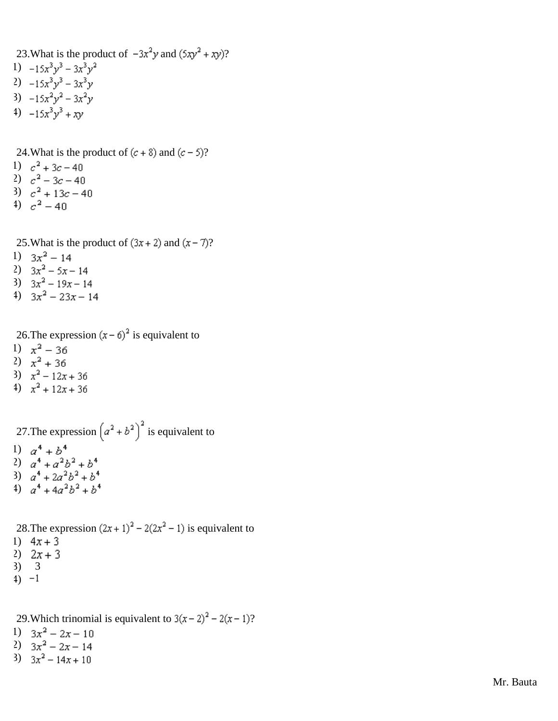23. What is the product of  $-3x^2y$  and  $(5xy^2 + xy)$ ? 1)  $-15x^3y^3 - 3x^3y^2$ 2)  $-15x^3y^3 - 3x^3y$ 3)  $-15x^2y^2 - 3x^2y$ 4)  $-15x^3y^3 + xy$ 

24. What is the product of  $(c + 8)$  and  $(c - 5)$ ?

- 1)  $c^2 + 3c 40$
- 2)  $c^2 3c 40$
- 3)  $c^2 + 13c 40$
- 4)  $c^2 40$

25. What is the product of  $(3x + 2)$  and  $(x - 7)$ ?

- 1)  $3x^2 14$
- 2)  $3x^2 5x 14$
- 3)  $3x^2 19x 14$
- 4)  $3x^2 23x 14$

26. The expression  $(x - \delta)^2$  is equivalent to

- 1)  $x^2 36$
- 2)  $x^2 + 36$
- 3)  $x^2 12x + 36$
- 4)  $x^2 + 12x + 36$

27. The expression  $(a^2 + b^2)^2$  is equivalent to 1)  $a^4 + b^4$ 2)  $a^4 + a^2b^2 + b^4$ 3)

4)

28. The expression  $(2x + 1)^2 - 2(2x^2 - 1)$  is equivalent to 1)  $4x + 3$ 

- 2)  $2x + 3$
- 3) 3
- $4) -1$
- 

29. Which trinomial is equivalent to  $3(x-2)^2 - 2(x-1)$ ?

- 1)  $3x^2 2x 10$
- 2)  $3x^2 2x 14$
- 3)  $3x^2 14x + 10$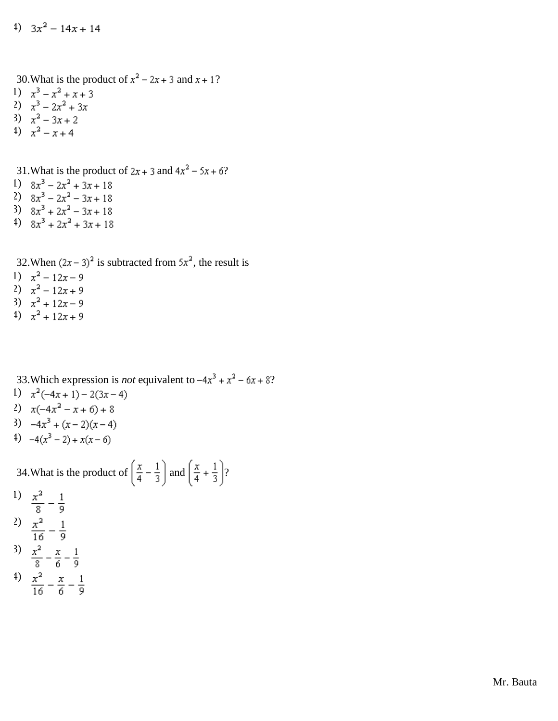4)  $3x^2 - 14x + 14$ 

30. What is the product of  $x^2 - 2x + 3$  and  $x + 1$ ?

- 1)  $x^3 x^2 + x + 3$
- 2)  $x^3 2x^2 + 3x$
- 3)
- 4)

31. What is the product of  $2x + 3$  and  $4x^2 - 5x + 6$ ?

- 1)  $8x^3 2x^2 + 3x + 18$
- 2)  $8x^3 2x^2 3x + 18$
- 3)  $8x^3 + 2x^2 3x + 18$
- 4)  $8x^3 + 2x^2 + 3x + 18$

32. When  $(2x-3)^2$  is subtracted from  $5x^2$ , the result is

- 1)  $x^2 12x 9$
- 2)  $x^2 12x + 9$
- 3)  $x^2 + 12x 9$
- 4)  $x^2 + 12x + 9$

33. Which expression is *not* equivalent to  $-4x^3 + x^2 - 6x + 8$ ? 1)  $x^2(-4x+1) - 2(3x-4)$ 2)  $x(-4x^2 - x + 6) + 8$ 3)  $-4x^3 + (x-2)(x-4)$ 4)  $-4(x^3-2)+x(x-6)$ 

34. What is the product of  $\left(\frac{x}{4} - \frac{1}{3}\right)$  and  $\left(\frac{x}{4} + \frac{1}{3}\right)$ ?

- 1)  $\frac{x^2}{8} \frac{1}{9}$
- <sup>2</sup>)  $\frac{x^2}{16} \frac{1}{9}$
- 3)  $\frac{x^2}{8} \frac{x}{6} \frac{1}{9}$
- 4)  $\frac{x^2}{16} \frac{x}{6} \frac{1}{9}$